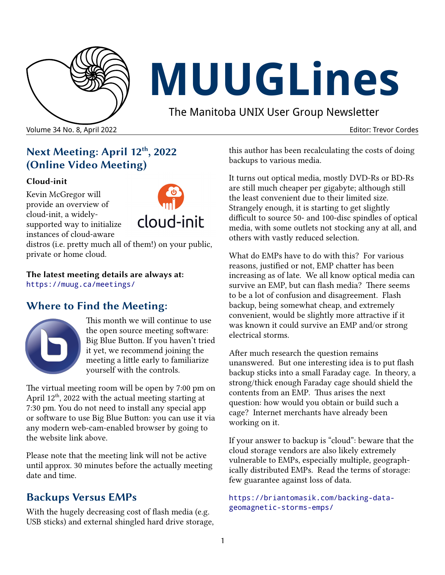

# **MUUGLines**

The Manitoba UNIX User Group Newsletter

Volume 34 No. 8, April 2022 Editor: Trevor Cordes

# **Next Meeting: April 12th, 2022 (Online Video Meeting)**

#### **Cloud-init**

Kevin McGregor will provide an overview of cloud-init, a widelysupported way to initialize instances of cloud-aware



distros (i.e. pretty much all of them!) on your public, private or home cloud.

**The latest meeting details are always at:** <https://muug.ca/meetings/>

## **Where to Find the Meeting:**



This month we will continue to use the open source meeting software: Big Blue Button. If you haven't tried it yet, we recommend joining the meeting a little early to familiarize yourself with the controls.

The virtual meeting room will be open by 7:00 pm on April  $12<sup>th</sup>$ , 2022 with the actual meeting starting at 7:30 pm. You do not need to install any special app or software to use Big Blue Button: you can use it via any modern web-cam-enabled browser by going to the website link above.

Please note that the meeting link will not be active until approx. 30 minutes before the actually meeting date and time.

## **Backups Versus EMPs**

With the hugely decreasing cost of flash media (e.g. USB sticks) and external shingled hard drive storage, this author has been recalculating the costs of doing backups to various media.

It turns out optical media, mostly DVD-Rs or BD-Rs are still much cheaper per gigabyte; although still the least convenient due to their limited size. Strangely enough, it is starting to get slightly difficult to source 50- and 100-disc spindles of optical media, with some outlets not stocking any at all, and others with vastly reduced selection.

What do EMPs have to do with this? For various reasons, justified or not, EMP chatter has been increasing as of late. We all know optical media can survive an EMP, but can flash media? There seems to be a lot of confusion and disagreement. Flash backup, being somewhat cheap, and extremely convenient, would be slightly more attractive if it was known it could survive an EMP and/or strong electrical storms.

After much research the question remains unanswered. But one interesting idea is to put flash backup sticks into a small Faraday cage. In theory, a strong/thick enough Faraday cage should shield the contents from an EMP. Thus arises the next question: how would you obtain or build such a cage? Internet merchants have already been working on it.

If your answer to backup is "cloud": beware that the cloud storage vendors are also likely extremely vulnerable to EMPs, especially multiple, geographically distributed EMPs. Read the terms of storage: few guarantee against loss of data.

```
https://briantomasik.com/backing-data-
geomagnetic-storms-emps/
```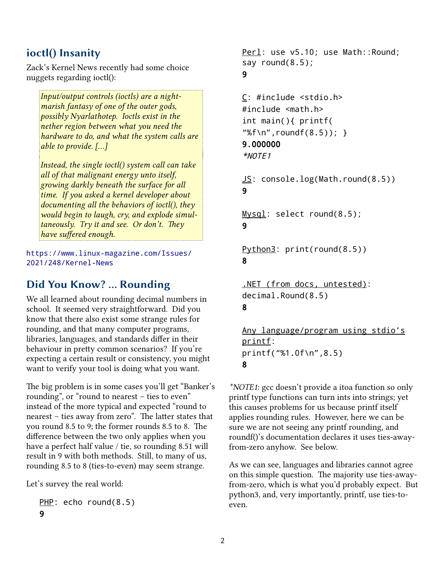## **ioctl() Insanity**

Zack's Kernel News recently had some choice nuggets regarding ioctl():

*Input/output controls (ioctls) are a nightmarish fantasy of one of the outer gods, possibly Nyarlathotep. Ioctls exist in the nether region between what you need the hardware to do, and what the system calls are able to provide. [...]*

*Instead, the single ioctl() system call can take all of that malignant energy unto itself, growing darkly beneath the surface for all time. If you asked a kernel developer about documenting all the behaviors of ioctl(), they would begin to laugh, cry, and explode simultaneously. Try it and see. Or don't. They have suffered enough.*

[https://www.linux-magazine.com/Issues/](https://www.linux-magazine.com/Issues/2021/248/Kernel-News) [2021/248/Kernel-News](https://www.linux-magazine.com/Issues/2021/248/Kernel-News)

#### **Did You Know? … Rounding**

We all learned about rounding decimal numbers in school. It seemed very straightforward. Did you know that there also exist some strange rules for rounding, and that many computer programs, libraries, languages, and standards differ in their behaviour in pretty common scenarios? If you're expecting a certain result or consistency, you might want to verify your tool is doing what you want.

The big problem is in some cases you'll get "Banker's rounding", or "round to nearest – ties to even" instead of the more typical and expected "round to nearest – ties away from zero". The latter states that you round 8.5 to 9; the former rounds 8.5 to 8. The difference between the two only applies when you have a perfect half value / tie, so rounding 8.51 will result in 9 with both methods. Still, to many of us, rounding 8.5 to 8 (ties-to-even) may seem strange.

Let's survey the real world:

```
PHP: echo round(8.5)
9
```

```
Perl: use v5.10; use Math::Round;
say round(8.5);
9
```

```
C: #include <stdio.h>
#include <math.h>
int main(){ printf(
"%f\n",roundf(8.5)); }
9.000000
*NOTE1
```
JS: console.log(Math.round(8.5)) 9

Mysql: select round(8.5); 9

Python3: print(round(8.5)) 8

```
.NET (from docs, untested):
decimal.Round(8.5)
8
```
Any language/program using stdio's printf: printf("%1.0f\n",8.5) 8

*\*NOTE1*: gcc doesn't provide a itoa function so only printf type functions can turn ints into strings; yet this causes problems for us because printf itself applies rounding rules. However, here we can be sure we are not seeing any printf rounding, and roundf()'s documentation declares it uses ties-awayfrom-zero anyhow. See below.

As we can see, languages and libraries cannot agree on this simple question. The majority use ties-awayfrom-zero, which is what you'd probably expect. But python3, and, very importantly, printf, use ties-toeven.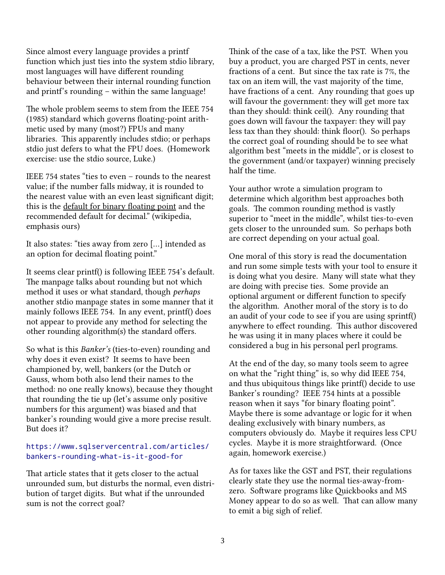Since almost every language provides a printf function which just ties into the system stdio library, most languages will have different rounding behaviour between their internal rounding function and printf's rounding – within the same language!

The whole problem seems to stem from the IEEE 754 (1985) standard which governs floating-point arithmetic used by many (most?) FPUs and many libraries. This apparently includes stdio; or perhaps stdio just defers to what the FPU does. (Homework exercise: use the stdio source, Luke.)

IEEE 754 states "ties to even – rounds to the nearest value; if the number falls midway, it is rounded to the nearest value with an even least significant digit; this is the default for binary floating point and the recommended default for decimal." (wikipedia, emphasis ours)

It also states: "ties away from zero […] intended as an option for decimal floating point."

It seems clear printf() is following IEEE 754's default. The manpage talks about rounding but not which method it uses or what standard, though *perhaps* another stdio manpage states in some manner that it mainly follows IEEE 754. In any event, printf() does not appear to provide any method for selecting the other rounding algorithm(s) the standard offers.

So what is this *Banker's* (ties-to-even) rounding and why does it even exist? It seems to have been championed by, well, bankers (or the Dutch or Gauss, whom both also lend their names to the method: no one really knows), because they thought that rounding the tie up (let's assume only positive numbers for this argument) was biased and that banker's rounding would give a more precise result. But does it?

#### [https://www.sqlservercentral.com/articles/](https://www.sqlservercentral.com/articles/bankers-rounding-what-is-it-good-for) [bankers-rounding-what-is-it-good-for](https://www.sqlservercentral.com/articles/bankers-rounding-what-is-it-good-for)

That article states that it gets closer to the actual unrounded sum, but disturbs the normal, even distribution of target digits. But what if the unrounded sum is not the correct goal?

Think of the case of a tax, like the PST. When you buy a product, you are charged PST in cents, never fractions of a cent. But since the tax rate is 7%, the tax on an item will, the vast majority of the time, have fractions of a cent. Any rounding that goes up will favour the government: they will get more tax than they should: think ceil(). Any rounding that goes down will favour the taxpayer: they will pay less tax than they should: think floor(). So perhaps the correct goal of rounding should be to see what algorithm best "meets in the middle", or is closest to the government (and/or taxpayer) winning precisely half the time.

Your author wrote a simulation program to determine which algorithm best approaches both goals. The common rounding method is vastly superior to "meet in the middle", whilst ties-to-even gets closer to the unrounded sum. So perhaps both are correct depending on your actual goal.

One moral of this story is read the documentation and run some simple tests with your tool to ensure it is doing what you desire. Many will state what they are doing with precise ties. Some provide an optional argument or different function to specify the algorithm. Another moral of the story is to do an audit of your code to see if you are using sprintf() anywhere to effect rounding. This author discovered he was using it in many places where it could be considered a bug in his personal perl programs.

At the end of the day, so many tools seem to agree on what the "right thing" is, so why did IEEE 754, and thus ubiquitous things like printf() decide to use Banker's rounding? IEEE 754 hints at a possible reason when it says "for binary floating point". Maybe there is some advantage or logic for it when dealing exclusively with binary numbers, as computers obviously do. Maybe it requires less CPU cycles. Maybe it is more straightforward. (Once again, homework exercise.)

As for taxes like the GST and PST, their regulations clearly state they use the normal ties-away-fromzero. Software programs like Quickbooks and MS Money appear to do so as well. That can allow many to emit a big sigh of relief.